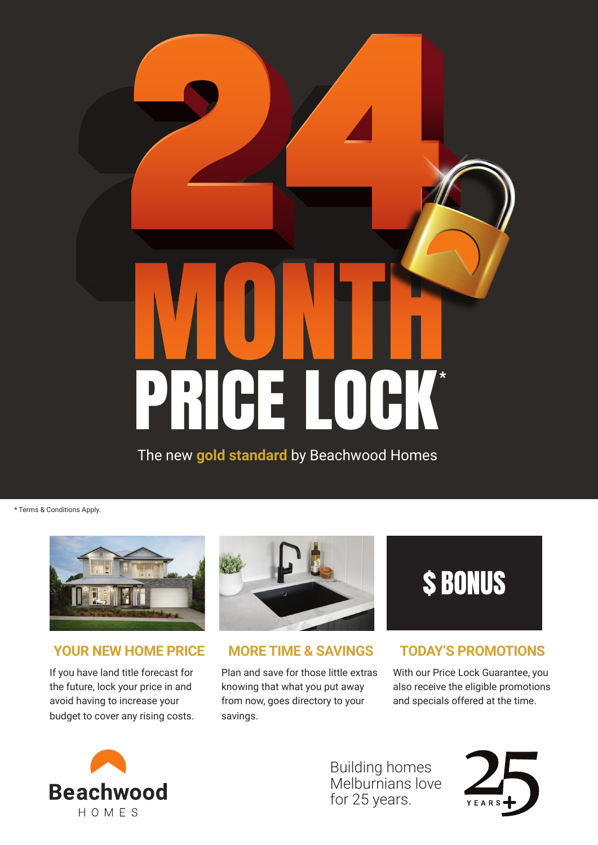# PRICE LOCK®

The new **gold standard** by Beachwood Homes

\* Terms & Conditions Apply.



### **YOUR NEW HOME PRICE**

If you have land title forecast for the future, lock your price in and avoid having to increase your budget to cover any rising costs.



**MORE TIME & SAVINGS**

Plan and save for those little extras knowing that what you put away from now, goes directory to your savings.



## **TODAY'S PROMOTIONS**

With our Price Lock Guarantee, you also receive the eligible promotions and specials offered at the time.



Building homes Melburnians love for 25 years.